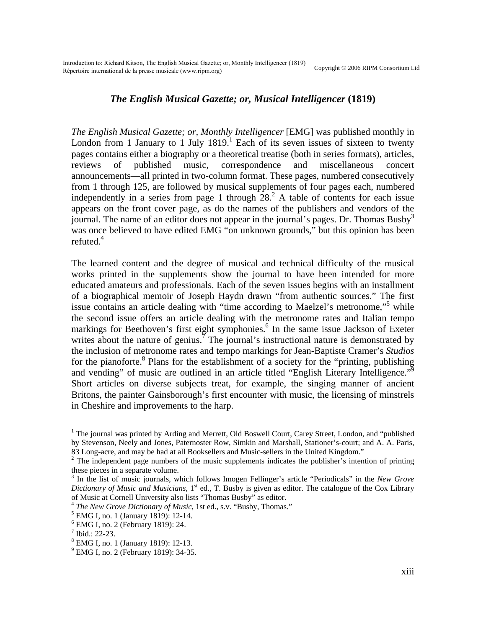## *The English Musical Gazette; or, Musical Intelligencer* **(1819)**

*The English Musical Gazette; or, Monthly Intelligencer* [EMG] was published monthly in London from [1](#page-0-0) January to 1 July  $1819$ . Each of its seven issues of sixteen to twenty pages contains either a biography or a theoretical treatise (both in series formats), articles, reviews of published music, correspondence and miscellaneous concert announcements—all printed in two-column format. These pages, numbered consecutively from 1 through 125, are followed by musical supplements of four pages each, numbered independently in a series from page 1 through  $28<sup>2</sup>$  $28<sup>2</sup>$ . A table of contents for each issue appears on the front cover page, as do the names of the publishers and vendors of the journal. The name of an editor does not appear in the journal's pages. Dr. Thomas Busby<sup>3</sup> was once believed to have edited EMG "on unknown grounds," but this opinion has been refuted. $4$ 

The learned content and the degree of musical and technical difficulty of the musical works printed in the supplements show the journal to have been intended for more educated amateurs and professionals. Each of the seven issues begins with an installment of a biographical memoir of Joseph Haydn drawn "from authentic sources." The first issuecontains an article dealing with "time according to Maelzel's metronome,"<sup>5</sup> while the second issue offers an article dealing with the metronome rates and Italian tempo markings for Beethoven's first eight symphonies.<sup>[6](#page-0-5)</sup> In the same issue Jackson of Exeter writes about the nature of genius.<sup>[7](#page-0-6)</sup> The journal's instructional nature is demonstrated by the inclusion of metronome rates and tempo markings for Jean-Baptiste Cramer's *Studios* for the pianoforte.<sup>[8](#page-0-7)</sup> Plans for the establishment of a society for the "printing, publishing and vending" of music are outlined in an article titled "English Literary Intelligence."<sup>9</sup> Short articles on diverse subjects treat, for example, the singing manner of ancient Britons, the painter Gainsborough's first encounter with music, the licensing of minstrels in Cheshire and improvements to the harp.

<span id="page-0-0"></span><sup>&</sup>lt;sup>1</sup> The journal was printed by Arding and Merrett, Old Boswell Court, Carey Street, London, and "published by Stevenson, Neely and Jones, Paternoster Row, Simkin and Marshall, Stationer's-court; and A. A. Paris, 83 Long-acre, and may be had at all Booksellers and Music-sellers in the United Kingdom."

<span id="page-0-1"></span> $2^2$  The independent page numbers of the music supplements indicates the publisher's intention of printing these pieces in a separate volume.

<span id="page-0-2"></span><sup>3</sup> In the list of music journals, which follows Imogen Fellinger's article "Periodicals" in the *New Grove Dictionary of Music and Musicians*, 1<sup>st</sup> ed., T. Busby is given as editor. The catalogue of the Cox Library of Music at Cornell University also lists "Thomas Busby" as editor.

<span id="page-0-3"></span><sup>&</sup>lt;sup>4</sup> The New Grove Dictionary of Music, 1st ed., s.v. "Busby, Thomas."

<span id="page-0-4"></span>EMG I, no. 1 (January 1819): 12-14.

<span id="page-0-5"></span><sup>6</sup> EMG I, no. 2 (February 1819): 24.

<span id="page-0-6"></span> $7$  Ibid.: 22-23.

<span id="page-0-7"></span><sup>8</sup> EMG I, no. 1 (January 1819): 12-13.

<span id="page-0-8"></span><sup>&</sup>lt;sup>9</sup> EMG I, no. 2 (February 1819): 34-35.